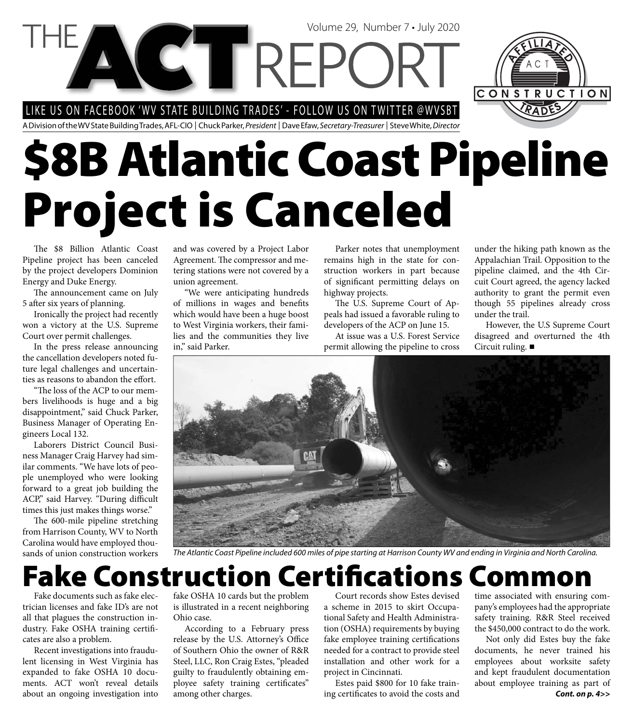LIKE US ON FACEBOOK 'WV STATE BUILDING TRADES' - FOLLOW US ON TWITTER @WVSBT

Volume 29, Number 7 • July 2020

A Division of the WV State Building Trades, AFL-CIO | Chuck Parker, President | Dave Efaw, Secretary-Treasurer | Steve White, Director

# **\$8B Atlantic Coast Pipeline Project is Canceled**

The \$8 Billion Atlantic Coast Pipeline project has been canceled by the project developers Dominion Energy and Duke Energy.

The announcement came on July 5 after six years of planning.

Ironically the project had recently won a victory at the U.S. Supreme Court over permit challenges.

In the press release announcing the cancellation developers noted future legal challenges and uncertainties as reasons to abandon the effort.

"The loss of the ACP to our members livelihoods is huge and a big disappointment," said Chuck Parker, Business Manager of Operating Engineers Local 132.

Laborers District Council Business Manager Craig Harvey had similar comments. "We have lots of people unemployed who were looking forward to a great job building the ACP," said Harvey. "During difficult times this just makes things worse."

The 600-mile pipeline stretching from Harrison County, WV to North Carolina would have employed thousands of union construction workers and was covered by a Project Labor Agreement. The compressor and metering stations were not covered by a union agreement.

"We were anticipating hundreds of millions in wages and benefits which would have been a huge boost to West Virginia workers, their families and the communities they live in," said Parker.

Parker notes that unemployment remains high in the state for construction workers in part because of significant permitting delays on highway projects.

The U.S. Supreme Court of Appeals had issued a favorable ruling to developers of the ACP on June 15.

At issue was a U.S. Forest Service permit allowing the pipeline to cross

under the hiking path known as the Appalachian Trail. Opposition to the pipeline claimed, and the 4th Circuit Court agreed, the agency lacked authority to grant the permit even though 55 pipelines already cross under the trail.

CONSTRUCTION

However, the U.S Supreme Court disagreed and overturned the 4th Circuit ruling.



The Atlantic Coast Pipeline included 600 miles of pipe starting at Harrison County WV and ending in Virginia and North Carolina.

### **Fake Construction Certifi cations Common**

Fake documents such as fake electrician licenses and fake ID's are not all that plagues the construction industry. Fake OSHA training certificates are also a problem.

Recent investigations into fraudulent licensing in West Virginia has expanded to fake OSHA 10 documents. ACT won't reveal details about an ongoing investigation into

fake OSHA 10 cards but the problem is illustrated in a recent neighboring Ohio case.

According to a February press release by the U.S. Attorney's Office of Southern Ohio the owner of R&R Steel, LLC, Ron Craig Estes, "pleaded guilty to fraudulently obtaining employee safety training certificates" among other charges.

Court records show Estes devised a scheme in 2015 to skirt Occupational Safety and Health Administration (OSHA) requirements by buying fake employee training certifications needed for a contract to provide steel installation and other work for a project in Cincinnati.

Estes paid \$800 for 10 fake training certificates to avoid the costs and time associated with ensuring company's employees had the appropriate safety training. R&R Steel received the \$450,000 contract to do the work.

*Cont. on p. 4>>* Not only did Estes buy the fake documents, he never trained his employees about worksite safety and kept fraudulent documentation about employee training as part of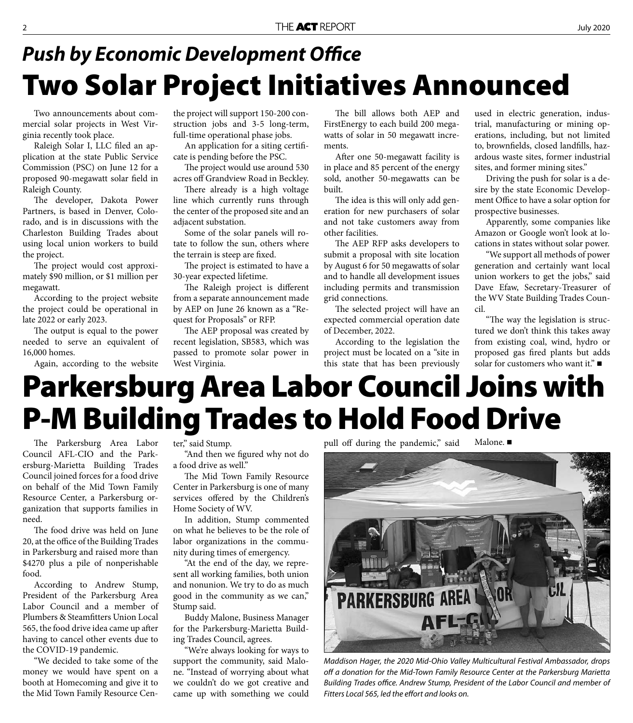# **Two Solar Project Initiatives Announced Push by Economic Development Office**

Two announcements about commercial solar projects in West Virginia recently took place.

Raleigh Solar I, LLC filed an application at the state Public Service Commission (PSC) on June 12 for a proposed 90-megawatt solar field in Raleigh County.

The developer, Dakota Power Partners, is based in Denver, Colorado, and is in discussions with the Charleston Building Trades about using local union workers to build the project.

The project would cost approximately \$90 million, or \$1 million per megawatt.

According to the project website the project could be operational in late 2022 or early 2023.

The output is equal to the power needed to serve an equivalent of 16,000 homes.

Again, according to the website

the project will support 150-200 construction jobs and 3-5 long-term, full-time operational phase jobs.

An application for a siting certificate is pending before the PSC.

The project would use around 530 acres off Grandview Road in Beckley.

There already is a high voltage line which currently runs through the center of the proposed site and an adjacent substation.

Some of the solar panels will rotate to follow the sun, others where the terrain is steep are fixed.

The project is estimated to have a 30-year expected lifetime.

The Raleigh project is different from a separate announcement made by AEP on June 26 known as a "Request for Proposals" or RFP.

The AEP proposal was created by recent legislation, SB583, which was passed to promote solar power in West Virginia.

The bill allows both AEP and FirstEnergy to each build 200 megawatts of solar in 50 megawatt increments.

After one 50-megawatt facility is in place and 85 percent of the energy sold, another 50-megawatts can be built.

The idea is this will only add generation for new purchasers of solar and not take customers away from other facilities.

The AEP RFP asks developers to submit a proposal with site location by August 6 for 50 megawatts of solar and to handle all development issues including permits and transmission grid connections.

The selected project will have an expected commercial operation date of December, 2022.

According to the legislation the project must be located on a "site in this state that has been previously

used in electric generation, industrial, manufacturing or mining operations, including, but not limited to, brownfields, closed landfills, hazardous waste sites, former industrial sites, and former mining sites."

Driving the push for solar is a desire by the state Economic Development Office to have a solar option for prospective businesses.

Apparently, some companies like Amazon or Google won't look at locations in states without solar power.

"We support all methods of power generation and certainly want local union workers to get the jobs," said Dave Efaw, Secretary-Treasurer of the WV State Building Trades Council.

"The way the legislation is structured we don't think this takes away from existing coal, wind, hydro or proposed gas fired plants but adds solar for customers who want it."

# **Parkersburg Area Labor Council Joins with P-M Building Trades to Hold Food Drive**

The Parkersburg Area Labor Council AFL-CIO and the Parkersburg-Marietta Building Trades Council joined forces for a food drive on behalf of the Mid Town Family Resource Center, a Parkersburg organization that supports families in need.

The food drive was held on June 20, at the office of the Building Trades in Parkersburg and raised more than \$4270 plus a pile of nonperishable food.

According to Andrew Stump, President of the Parkersburg Area Labor Council and a member of Plumbers & Steamfitters Union Local 565, the food drive idea came up after having to cancel other events due to the COVID-19 pandemic.

"We decided to take some of the money we would have spent on a booth at Homecoming and give it to the Mid Town Family Resource Center," said Stump.

"And then we figured why not do a food drive as well."

The Mid Town Family Resource Center in Parkersburg is one of many services offered by the Children's Home Society of WV.

In addition, Stump commented on what he believes to be the role of labor organizations in the community during times of emergency.

"At the end of the day, we represent all working families, both union and nonunion. We try to do as much good in the community as we can," Stump said.

Buddy Malone, Business Manager for the Parkersburg-Marietta Building Trades Council, agrees.

"We're always looking for ways to support the community, said Malone. "Instead of worrying about what we couldn't do we got creative and came up with something we could pull off during the pandemic," said Malone.



Maddison Hager, the 2020 Mid-Ohio Valley Multicultural Festival Ambassador, drops off a donation for the Mid-Town Family Resource Center at the Parkersburg Marietta Building Trades office. Andrew Stump, President of the Labor Council and member of Fitters Local 565, led the effort and looks on.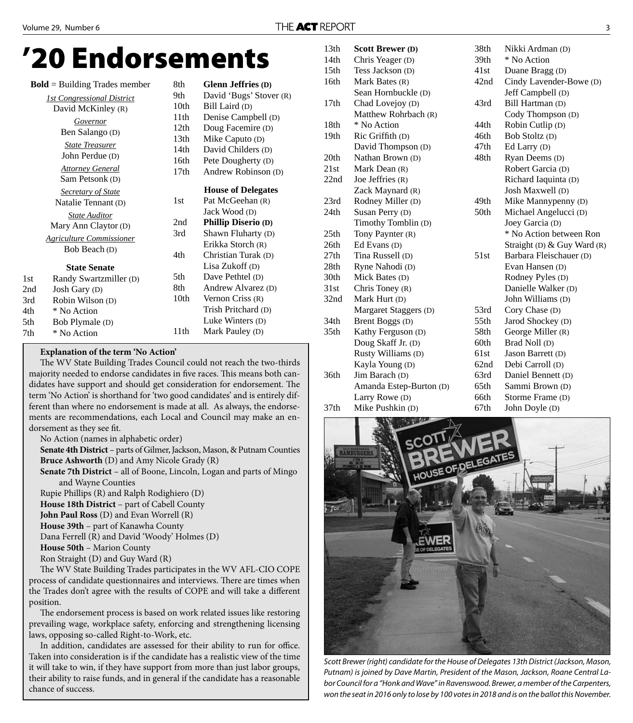# **'20 Endorsements**

|     | $Bold = Building$ Trades member   | 8th              | <b>Glenn Jeffries (D)</b>  |
|-----|-----------------------------------|------------------|----------------------------|
|     | <b>1st Congressional District</b> | 9th              | David 'Bugs' Stover (R)    |
|     | David McKinley (R)                | 10th             | Bill Laird (D)             |
|     | Governor                          | 11th             | Denise Campbell (D)        |
|     | Ben Salango (D)                   | 12th             | Doug Facemire (D)          |
|     |                                   | 13 <sub>th</sub> | Mike Caputo (D)            |
|     | <b>State Treasurer</b>            | 14th             | David Childers (D)         |
|     | John Perdue (D)                   | 16th             | Pete Dougherty (D)         |
|     | <b>Attorney General</b>           | 17th             | Andrew Robinson (D)        |
|     | Sam Petsonk (D)                   |                  |                            |
|     | <b>Secretary of State</b>         |                  | <b>House of Delegates</b>  |
|     | Natalie Tennant (D)               | 1st              | Pat McGeehan (R)           |
|     | <b>State Auditor</b>              |                  | Jack Wood (D)              |
|     | Mary Ann Claytor (D)              | 2nd              | <b>Phillip Diserio (D)</b> |
|     | <b>Agriculture Commissioner</b>   | 3rd              | Shawn Fluharty (D)         |
|     | Bob Beach (D)                     |                  | Erikka Storch (R)          |
|     |                                   | 4th              | Christian Turak (D)        |
|     | <b>State Senate</b>               |                  | Lisa Zukoff (D)            |
| 1st | Randy Swartzmiller (D)            | 5th              | Dave Pethtel (D)           |
| 2nd | Josh Gary (D)                     | 8th              | Andrew Alvarez (D)         |
| 3rd | Robin Wilson (D)                  | 10 <sub>th</sub> | Vernon Criss $(R)$         |
| 4th | * No Action                       |                  | Trish Pritchard (D)        |
| 5th | Bob Plymale (D)                   |                  | Luke Winters (D)           |
| 7th | * No Action                       | 11 <sup>th</sup> | Mark Pauley (D)            |
|     |                                   |                  |                            |

#### **Explanation of the term 'No Action'**

The WV State Building Trades Council could not reach the two-thirds majority needed to endorse candidates in five races. This means both candidates have support and should get consideration for endorsement. The term 'No Action' is shorthand for 'two good candidates' and is entirely different than where no endorsement is made at all. As always, the endorsements are recommendations, each Local and Council may make an endorsement as they see fit.

No Action (names in alphabetic order)

**Senate 4th District** – parts of Gilmer, Jackson, Mason, & Putnam Counties **Bruce Ashworth** (D) and Amy Nicole Grady (R)

**Senate 7th District** – all of Boone, Lincoln, Logan and parts of Mingo and Wayne Counties

Rupie Phillips (R) and Ralph Rodighiero (D) **House 18th District** – part of Cabell County **John Paul Ross** (D) and Evan Worrell (R) **House 39th** – part of Kanawha County Dana Ferrell (R) and David 'Woody' Holmes (D) **House 50th** – Marion County Ron Straight (D) and Guy Ward (R)

The WV State Building Trades participates in the WV AFL-CIO COPE process of candidate questionnaires and interviews. There are times when the Trades don't agree with the results of COPE and will take a different position.

The endorsement process is based on work related issues like restoring prevailing wage, workplace safety, enforcing and strengthening licensing laws, opposing so-called Right-to-Work, etc.

In addition, candidates are assessed for their ability to run for office. Taken into consideration is if the candidate has a realistic view of the time it will take to win, if they have support from more than just labor groups, their ability to raise funds, and in general if the candidate has a reasonable chance of success.

| 13th             | <b>Scott Brewer (D)</b> | 38th | Nikki Ardman (D)            |
|------------------|-------------------------|------|-----------------------------|
| 14th             | Chris Yeager (D)        | 39th | * No Action                 |
| 15 <sub>th</sub> | Tess Jackson (D)        | 41st | Duane Bragg (D)             |
| 16th             | Mark Bates (R)          | 42nd | Cindy Lavender-Bowe (D)     |
|                  | Sean Hornbuckle (D)     |      | Jeff Campbell (D)           |
| 17 <sub>th</sub> | Chad Lovejoy (D)        | 43rd | Bill Hartman (D)            |
|                  | Matthew Rohrbach (R)    |      | Cody Thompson (D)           |
| 18th             | * No Action             | 44th | Robin Cutlip (D)            |
| 19th             | Ric Griffith (D)        | 46th | Bob Stoltz (D)              |
|                  | David Thompson (D)      | 47th | Ed Larry (D)                |
| 20th             | Nathan Brown (D)        | 48th | Ryan Deems (D)              |
| 21st             | Mark Dean (R)           |      | Robert Garcia (D)           |
| 22nd             | Joe Jeffries (R)        |      | Richard Iaquinta (D)        |
|                  | Zack Maynard (R)        |      | Josh Maxwell (D)            |
| 23rd             | Rodney Miller (D)       | 49th | Mike Mannypenny (D)         |
| 24th             | Susan Perry (D)         | 50th | Michael Angelucci (D)       |
|                  | Timothy Tomblin (D)     |      | Joey Garcia (D)             |
| 25th             | Tony Paynter (R)        |      | * No Action between Ron     |
| 26th             | Ed Evans (D)            |      | Straight (D) & Guy Ward (R) |
| 27th             | Tina Russell (D)        | 51st | Barbara Fleischauer (D)     |
| 28th             | Ryne Nahodi (D)         |      | Evan Hansen (D)             |
| 30th             | Mick Bates (D)          |      | Rodney Pyles (D)            |
| 31st             | Chris Toney $(R)$       |      | Danielle Walker (D)         |
| 32nd             | Mark Hurt (D)           |      | John Williams (D)           |
|                  | Margaret Staggers (D)   | 53rd | Cory Chase (D)              |
| 34 <sub>th</sub> | Brent Boggs (D)         | 55th | Jarod Shockey (D)           |
| 35th             | Kathy Ferguson (D)      | 58th | George Miller (R)           |
|                  | Doug Skaff Jr. (D)      | 60th | Brad Noll (D)               |
|                  | Rusty Williams (D)      | 61st | Jason Barrett (D)           |
|                  | Kayla Young (D)         | 62nd | Debi Carroll (D)            |
| 36th             | Jim Barach (D)          | 63rd | Daniel Bennett (D)          |
|                  | Amanda Estep-Burton (D) | 65th | Sammi Brown (D)             |
|                  | Larry Rowe (D)          | 66th | Storme Frame (D)            |
| 37 <sub>th</sub> | Mike Pushkin (D)        | 67th | John Doyle (D)              |



Scott Brewer (right) candidate for the House of Delegates 13th District (Jackson, Mason, Putnam) is joined by Dave Martin, President of the Mason, Jackson, Roane Central Labor Council for a "Honk and Wave" in Ravenswood. Brewer, a member of the Carpenters, won the seat in 2016 only to lose by 100 votes in 2018 and is on the ballot this November.